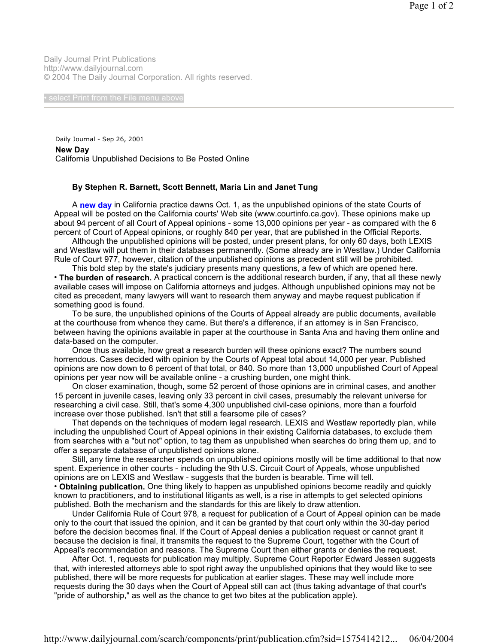Daily Journal Print Publications http://www.dailyjournal.com © 2004 The Daily Journal Corporation. All rights reserved.

Daily Journal - Sep 26, 2001 **New Day**  California Unpublished Decisions to Be Posted Online

## **By Stephen R. Barnett, Scott Bennett, Maria Lin and Janet Tung**

 A **new day** in California practice dawns Oct. 1, as the unpublished opinions of the state Courts of Appeal will be posted on the California courts' Web site (www.courtinfo.ca.gov). These opinions make up about 94 percent of all Court of Appeal opinions - some 13,000 opinions per year - as compared with the 6 percent of Court of Appeal opinions, or roughly 840 per year, that are published in the Official Reports.

 Although the unpublished opinions will be posted, under present plans, for only 60 days, both LEXIS and Westlaw will put them in their databases permanently. (Some already are in Westlaw.) Under California Rule of Court 977, however, citation of the unpublished opinions as precedent still will be prohibited.

 This bold step by the state's judiciary presents many questions, a few of which are opened here. • **The burden of research.** A practical concern is the additional research burden, if any, that all these newly available cases will impose on California attorneys and judges. Although unpublished opinions may not be cited as precedent, many lawyers will want to research them anyway and maybe request publication if something good is found.

 To be sure, the unpublished opinions of the Courts of Appeal already are public documents, available at the courthouse from whence they came. But there's a difference, if an attorney is in San Francisco, between having the opinions available in paper at the courthouse in Santa Ana and having them online and data-based on the computer.

 Once thus available, how great a research burden will these opinions exact? The numbers sound horrendous. Cases decided with opinion by the Courts of Appeal total about 14,000 per year. Published opinions are now down to 6 percent of that total, or 840. So more than 13,000 unpublished Court of Appeal opinions per year now will be available online - a crushing burden, one might think.

 On closer examination, though, some 52 percent of those opinions are in criminal cases, and another 15 percent in juvenile cases, leaving only 33 percent in civil cases, presumably the relevant universe for researching a civil case. Still, that's some 4,300 unpublished civil-case opinions, more than a fourfold increase over those published. Isn't that still a fearsome pile of cases?

 That depends on the techniques of modern legal research. LEXIS and Westlaw reportedly plan, while including the unpublished Court of Appeal opinions in their existing California databases, to exclude them from searches with a "but not" option, to tag them as unpublished when searches do bring them up, and to offer a separate database of unpublished opinions alone.

 Still, any time the researcher spends on unpublished opinions mostly will be time additional to that now spent. Experience in other courts - including the 9th U.S. Circuit Court of Appeals, whose unpublished opinions are on LEXIS and Westlaw - suggests that the burden is bearable. Time will tell.

• **Obtaining publication.** One thing likely to happen as unpublished opinions become readily and quickly known to practitioners, and to institutional litigants as well, is a rise in attempts to get selected opinions published. Both the mechanism and the standards for this are likely to draw attention.

 Under California Rule of Court 978, a request for publication of a Court of Appeal opinion can be made only to the court that issued the opinion, and it can be granted by that court only within the 30-day period before the decision becomes final. If the Court of Appeal denies a publication request or cannot grant it because the decision is final, it transmits the request to the Supreme Court, together with the Court of Appeal's recommendation and reasons. The Supreme Court then either grants or denies the request.

 After Oct. 1, requests for publication may multiply. Supreme Court Reporter Edward Jessen suggests that, with interested attorneys able to spot right away the unpublished opinions that they would like to see published, there will be more requests for publication at earlier stages. These may well include more requests during the 30 days when the Court of Appeal still can act (thus taking advantage of that court's "pride of authorship," as well as the chance to get two bites at the publication apple).